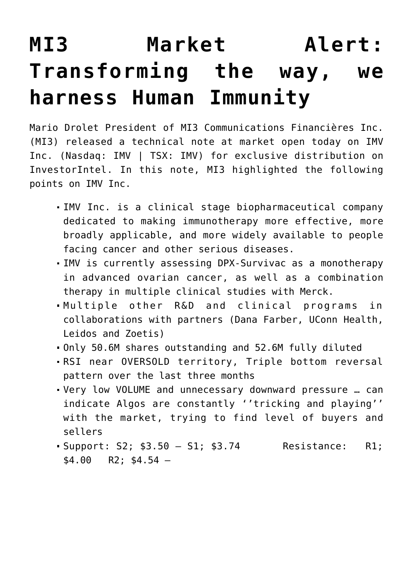## **[MI3 Market Alert:](https://investorintel.com/markets/biotech-healthcare/biotech-intel/mi3-market-alert-transforming-the-way-we-harness-human-immunity/) [Transforming the way, we](https://investorintel.com/markets/biotech-healthcare/biotech-intel/mi3-market-alert-transforming-the-way-we-harness-human-immunity/) [harness Human Immunity](https://investorintel.com/markets/biotech-healthcare/biotech-intel/mi3-market-alert-transforming-the-way-we-harness-human-immunity/)**

Mario Drolet President of MI3 Communications Financières Inc. (MI3) released a technical note at market open today on [IMV](https://imv-inc.com/) [Inc.](https://imv-inc.com/) (Nasdaq: IMV | TSX: IMV) for exclusive distribution on InvestorIntel. In this note, MI3 highlighted the following points on IMV Inc.

- IMV Inc. is a clinical stage biopharmaceutical company dedicated to making immunotherapy more effective, more broadly applicable, and more widely available to people facing cancer and other serious diseases.
- IMV is currently assessing DPX-Survivac as a monotherapy in advanced ovarian cancer, as well as a combination therapy in multiple clinical studies with Merck.
- Multiple other R&D and clinical programs in collaborations with partners (Dana Farber, UConn Health, Leidos and Zoetis)
- Only 50.6M shares outstanding and 52.6M fully diluted
- RSI near OVERSOLD territory, Triple bottom reversal pattern over the last three months
- Very low VOLUME and unnecessary downward pressure … can indicate Algos are constantly ''tricking and playing'' with the market, trying to find level of buyers and sellers
- Support: S2; \$3.50 S1; \$3.74 Resistance: R1;  $$4.00$  R2;  $$4.54$  -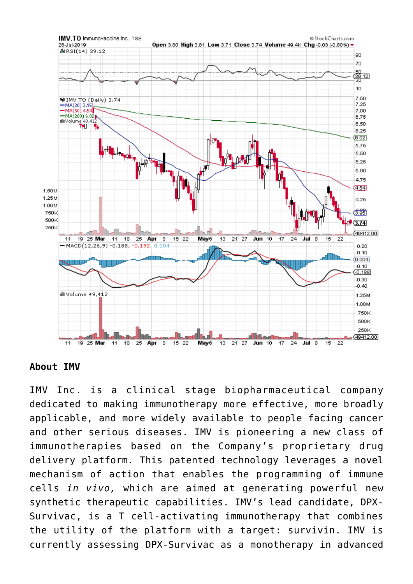

**About IMV**

IMV Inc. is a clinical stage biopharmaceutical company dedicated to making immunotherapy more effective, more broadly applicable, and more widely available to people facing cancer and other serious diseases. IMV is pioneering a new class of immunotherapies based on the Company's proprietary drug delivery platform. This patented technology leverages a novel mechanism of action that enables the programming of immune cells *in vivo,* which are aimed at generating powerful new synthetic therapeutic capabilities. IMV's lead candidate, DPX-Survivac, is a T cell-activating immunotherapy that combines the utility of the platform with a target: survivin. IMV is currently assessing DPX-Survivac as a monotherapy in advanced